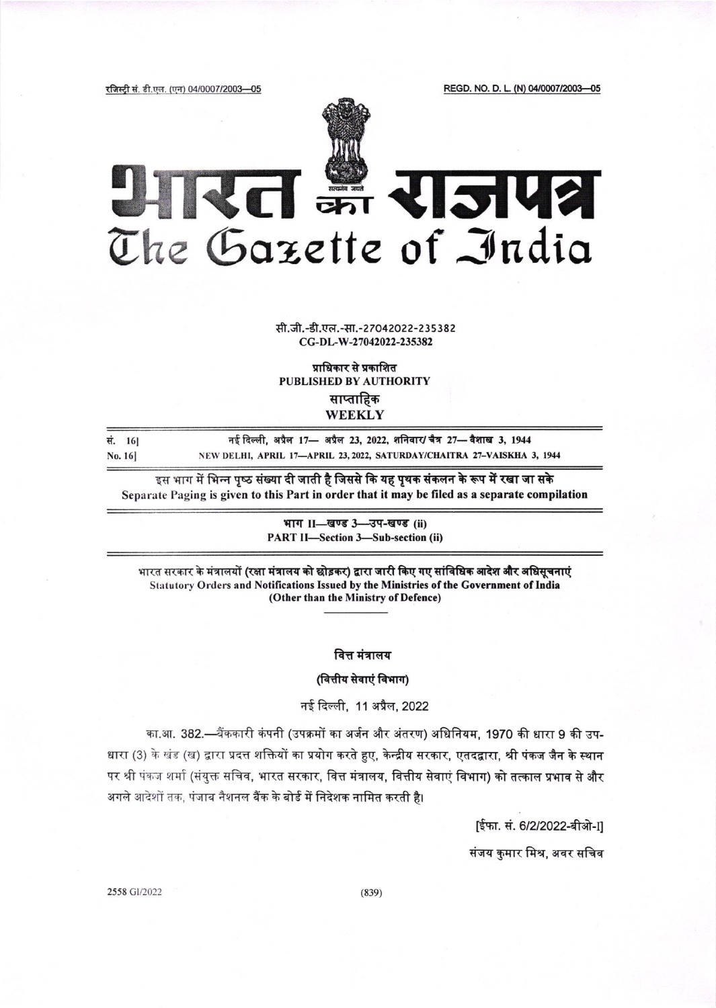रजिस्ट्री सं. डी.एल. (एन) 04/0007/2003—05 (कार्यक्रम) कार्यक्रम (REGD. NO. D. L. (N) 04/0007/2003—05



# The Gazette of India स्ति इन राजपत्र

## सी.जी.-डी.एल.-सा.-27042022-235382 c c -Dt-w -27 0 42022-23 5382

प्राधिकार से प्रकाशित PUBLISHED BY AUTHORITY साप्ताहिक **WEEKLY** 

सं. 16 No. 16l

नई दिल्ली, अप्रैल 17- अप्रैल 23, 2022, शनिवार/ चैत्र 27- वैशाख 3, 1944 NEW DELHI, APRIL 17-APRIL 23, 2022, SATURDAY/CHAITRA 27-VAISKHA 3, 1944

इस भाग में भिन्न पृष्ठ संख्या दी जाती है जिससे कि यह पृथक संकलन के रूप में रखा जा सके Separate Paging is given to this Part in order that it may be filed as a separate compilation

> भाग II-खण्ड 3-उप-खण्ड (ii) PART II-Section 3-Sub-section (ii)

भारत सरकार के मंत्रालयों (रक्षा मंत्रालय को छोड़कर) द्वारा जारी किए गए सांविधिक आदेश और अधिसूचनाएं Statutory Orders and Notifications Issued by the Ministries of the Government of India (Other than the Ministry of Defence)

# वित्त मंत्रालय

## (वित्तीय सेवाएं विभाग)

# नई दिल्ली, 11 अप्रैल, 2022

का.आ. 382.—बैंककारी कंपनी (उपक्रमों का अर्जन और अंतरण) अधिनियम, 1970 की धारा 9 की उप-धारा (3) के खंड (ख) द्वारा प्रदत्त शक्तियों का प्रयोग करते हुए, केन्द्रीय सरकार, एतदद्वारा, श्री पंकज जैन के स्थान पर श्री पंकज शर्मा (संयुक्त सचिव, भारत सरकार, वित्त मंत्रालय, वित्तीय सेवाएं विभाग) को तत्काल प्रभाव से और अगले आदेशों तक, पंजाब नैशनल बैंक के बोर्ड में निदेशक नामित करती है।

[ईफा. सं. 6/2/2022-बीओ-1]

संजय कुमार मिश्र, अवर सचिव

2558 GI/2022 (839)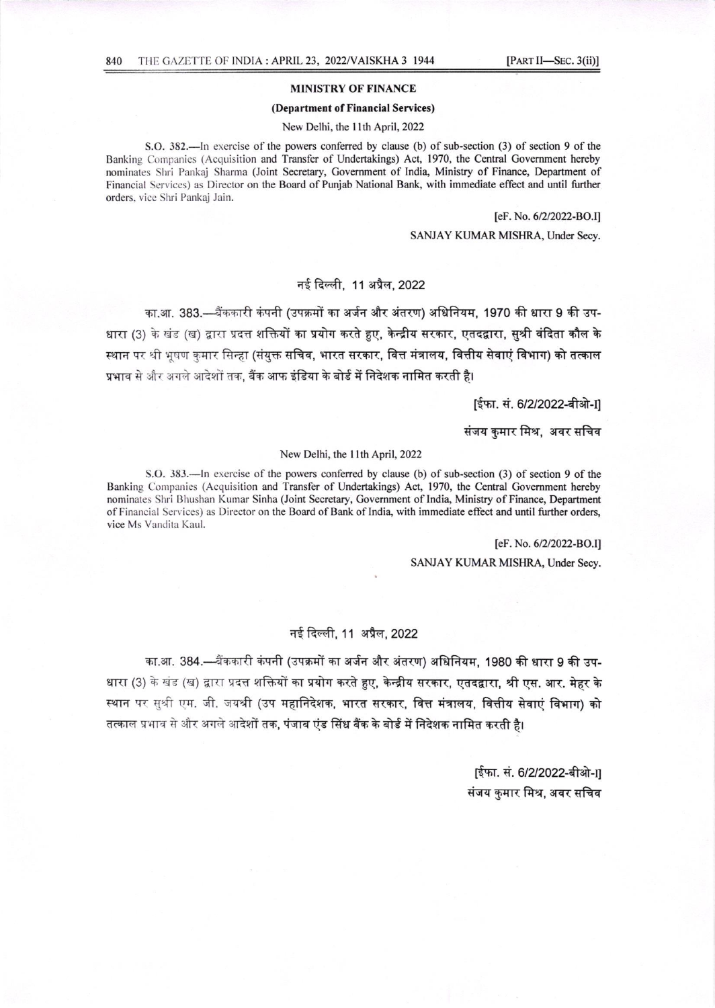## **MINISTRY OF FINANCE**

## (Department of Financial Services)

## New Delhi, the 11th April, 2022

S.O. 382.—In exercise of the powers conferred by clause (b) of sub-section (3) of section 9 of the Banking Companies (Acquisition and Transfer of Undertakings) Act, 1970, the Central Government hereby nominates Shri Pankaj Sharma (Joint Secretary, Government of India, Ministry of Finance, Department of Financial Services) as Director on the Board of Punjab National Bank, with immediate effect and until further orders, vice Shri Pankaj Jain.

[eF. No. 6/2/2022-BO.I]

SANJAY KUMAR MISHRA, Under Secv.

# नई दिल्ली, 11 अप्रैल, 2022

का.आ. 383.—वैंककारी कंपनी (उपक्रमों का अर्जन और अंतरण) अधिनियम. 1970 की धारा 9 की उप-धारा (3) के खंड (ख) द्वारा प्रदत्त शक्तियों का प्रयोग करते हुए, केन्द्रीय सरकार, एतदद्वारा, सुश्री वंदिता कौल के स्थान पर श्री भूषण कुमार सिन्हा (संयुक्त सचिव, भारत सरकार, वित्त मंत्रालय, वित्तीय सेवाएं विभाग) को तत्काल प्रभाव से और अगले आदेशों तक, बैंक आफ इंडिया के बोर्ड में निदेशक नामित करती है।

# [ईफा. सं. 6/2/2022-बीओ-I]

संजय कुमार मिश्र, अवर सचिव

## New Delhi, the 11th April, 2022

S.O. 383.—In exercise of the powers conferred by clause (b) of sub-section (3) of section 9 of the Banking Companies (Acquisition and Transfer of Undertakings) Act, 1970, the Central Government hereby nominates Shri Bhushan Kumar Sinha (Joint Secretary, Government of India, Ministry of Finance, Department of Financial Services) as Director on the Board of Bank of India, with immediate effect and until further orders, vice Ms Vandita Kaul.

[eF. No. 6/2/2022-BO.I]

SANJAY KUMAR MISHRA, Under Secy.

# नई दिल्ली, 11 अप्रैल, 2022

का.आ. 384.—बैंककारी कंपनी (उपक्रमों का अर्जन और अंतरण) अधिनियम, 1980 की धारा 9 की उप-धारा (3) के खंड (ख) द्वारा प्रदत्त शक्तियों का प्रयोग करते हुए, केन्द्रीय सरकार, एतदद्वारा, श्री एस. आर. मेहर के स्थान पर सुश्री एम. जी. जयश्री (उप महानिदेशक, भारत सरकार, वित्त मंत्रालय, वित्तीय सेवाएं विभाग) को तत्काल प्रभाव से और अगले आदेशों तक, पंजाब एंड सिंध बैंक के बोर्ड में निदेशक नामित करती है।

> [ईफा. सं. 6/2/2022-बीओ-।] संजय कुमार मिश्र, अवर सचिव